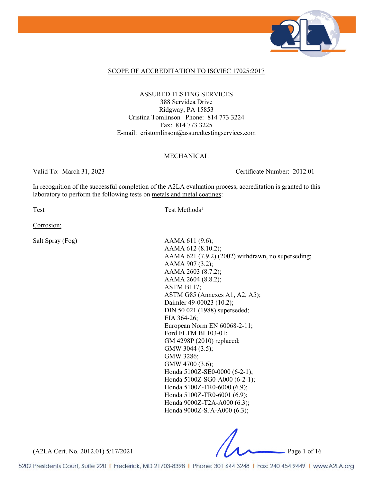

## SCOPE OF ACCREDITATION TO ISO/IEC 17025:2017

ASSURED TESTING SERVICES 388 Servidea Drive Ridgway, PA 15853 Cristina Tomlinson Phone: 814 773 3224 Fax: 814 773 3225 E-mail: cristomlinson@assuredtestingservices.com

## MECHANICAL

Valid To: March 31, 2023 Certificate Number: 2012.01

In recognition of the successful completion of the A2LA evaluation process, accreditation is granted to this laboratory to perform the following tests on metals and metal coatings:

Test Methods<sup>1</sup>

Corrosion:

Salt Spray (Fog) AAMA 611 (9.6); AAMA 612 (8.10.2); AAMA 621 (7.9.2) (2002) withdrawn, no superseding; AAMA 907 (3.2); AAMA 2603 (8.7.2); AAMA 2604 (8.8.2); ASTM B117; ASTM G85 (Annexes A1, A2, A5); Daimler 49-00023 (10.2); DIN 50 021 (1988) superseded; EIA 364-26; European Norm EN 60068-2-11; Ford FLTM BI 103-01; GM 4298P (2010) replaced; GMW 3044 (3.5); GMW 3286; GMW 4700 (3.6); Honda 5100Z-SE0-0000 (6-2-1); Honda 5100Z-SG0-A000 (6-2-1); Honda 5100Z-TR0-6000 (6.9); Honda 5100Z-TR0-6001 (6.9); Honda 9000Z-T2A-A000 (6.3); Honda 9000Z-SJA-A000 (6.3);

(A2LA Cert. No. 2012.01) 5/17/2021 Page 1 of 16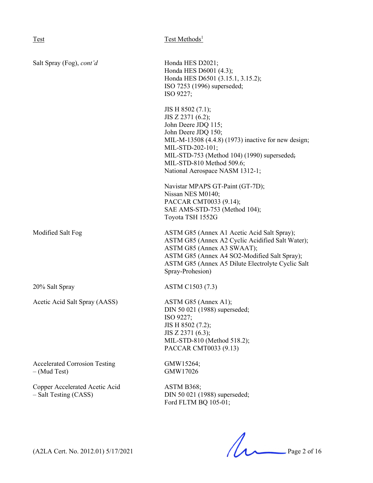| Salt Spray (Fog), cont'd                                | Honda HES D2021;<br>Honda HES D6001 (4.3);<br>Honda HES D6501 (3.15.1, 3.15.2);<br>ISO 7253 (1996) superseded;<br>ISO 9227;                                                                                                                                                    |
|---------------------------------------------------------|--------------------------------------------------------------------------------------------------------------------------------------------------------------------------------------------------------------------------------------------------------------------------------|
|                                                         | JIS H 8502 (7.1);<br>JIS Z 2371 (6.2);<br>John Deere JDQ 115;<br>John Deere JDQ 150;<br>MIL-M-13508 (4.4.8) (1973) inactive for new design;<br>MIL-STD-202-101;<br>MIL-STD-753 (Method 104) (1990) superseded;<br>MIL-STD-810 Method 509.6;<br>National Aerospace NASM 1312-1; |
|                                                         | Navistar MPAPS GT-Paint (GT-7D);<br>Nissan NES M0140;<br>PACCAR CMT0033 (9.14);<br>SAE AMS-STD-753 (Method 104);<br>Toyota TSH 1552G                                                                                                                                           |
| Modified Salt Fog                                       | ASTM G85 (Annex A1 Acetic Acid Salt Spray);<br>ASTM G85 (Annex A2 Cyclic Acidified Salt Water);<br>ASTM G85 (Annex A3 SWAAT);<br>ASTM G85 (Annex A4 SO2-Modified Salt Spray);<br>ASTM G85 (Annex A5 Dilute Electrolyte Cyclic Salt<br>Spray-Prohesion)                         |
| 20% Salt Spray                                          | ASTM C1503 (7.3)                                                                                                                                                                                                                                                               |
| Acetic Acid Salt Spray (AASS)                           | ASTM G85 (Annex A1);<br>DIN 50 021 (1988) superseded;<br>ISO 9227;<br>JIS H 8502 (7.2);<br>JIS Z 2371 (6.3);<br>MIL-STD-810 (Method 518.2);<br>PACCAR CMT0033 (9.13)                                                                                                           |
| <b>Accelerated Corrosion Testing</b><br>$-$ (Mud Test)  | GMW15264;<br>GMW17026                                                                                                                                                                                                                                                          |
| Copper Accelerated Acetic Acid<br>- Salt Testing (CASS) | ASTM B368;<br>DIN 50 021 (1988) superseded;<br>Ford FLTM BQ 105-01;                                                                                                                                                                                                            |

 $(A2LA$  Cert. No. 2012.01) 5/17/2021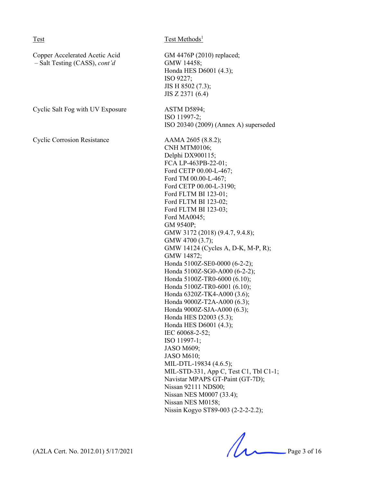| Test                                                              | Test Methods <sup>1</sup>                                                                                                                                                                                                                                                                                                                                                                                                                                                                                                                                                                                                                                                                                                                                                                                                                                                                                                 |
|-------------------------------------------------------------------|---------------------------------------------------------------------------------------------------------------------------------------------------------------------------------------------------------------------------------------------------------------------------------------------------------------------------------------------------------------------------------------------------------------------------------------------------------------------------------------------------------------------------------------------------------------------------------------------------------------------------------------------------------------------------------------------------------------------------------------------------------------------------------------------------------------------------------------------------------------------------------------------------------------------------|
| Copper Accelerated Acetic Acid<br>$-$ Salt Testing (CASS), cont'd | GM 4476P (2010) replaced;<br>GMW 14458;<br>Honda HES D6001 (4.3);<br>ISO 9227;<br>JIS H 8502 (7.3);<br>JIS Z 2371 (6.4)                                                                                                                                                                                                                                                                                                                                                                                                                                                                                                                                                                                                                                                                                                                                                                                                   |
| Cyclic Salt Fog with UV Exposure                                  | ASTM D5894;<br>ISO 11997-2;<br>ISO 20340 (2009) (Annex A) superseded                                                                                                                                                                                                                                                                                                                                                                                                                                                                                                                                                                                                                                                                                                                                                                                                                                                      |
| <b>Cyclic Corrosion Resistance</b>                                | AAMA 2605 (8.8.2);<br>CNH MTM0106;<br>Delphi DX900115;<br>FCA LP-463PB-22-01;<br>Ford CETP 00.00-L-467;<br>Ford TM 00.00-L-467;<br>Ford CETP 00.00-L-3190;<br>Ford FLTM BI 123-01;<br>Ford FLTM BI 123-02;<br>Ford FLTM BI 123-03;<br>Ford MA0045;<br>GM 9540P;<br>GMW 3172 (2018) (9.4.7, 9.4.8);<br>GMW 4700 (3.7);<br>GMW 14124 (Cycles A, D-K, M-P, R);<br>GMW 14872;<br>Honda 5100Z-SE0-0000 (6-2-2);<br>Honda 5100Z-SG0-A000 (6-2-2);<br>Honda 5100Z-TR0-6000 (6.10);<br>Honda 5100Z-TR0-6001 (6.10);<br>Honda 6320Z-TK4-A000 (3.6);<br>Honda 9000Z-T2A-A000 (6.3);<br>Honda 9000Z-SJA-A000 (6.3);<br>Honda HES D2003 (5.3);<br>Honda HES D6001 (4.3);<br>IEC 60068-2-52;<br>ISO 11997-1;<br><b>JASO M609;</b><br><b>JASO M610;</b><br>MIL-DTL-19834 (4.6.5);<br>MIL-STD-331, App C, Test C1, Tbl C1-1;<br>Navistar MPAPS GT-Paint (GT-7D);<br>Nissan 92111 NDS00;<br>Nissan NES M0007 (33.4);<br>Nissan NES M0158; |

 $(A2LA$  Cert. No. 2012.01) 5/17/2021 Page 3 of 16

Nissin Kogyo ST89-003 (2-2-2-2.2);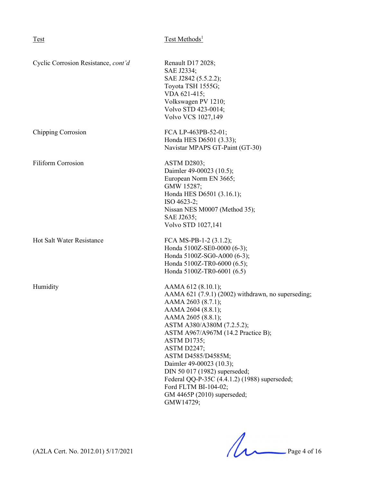| Cyclic Corrosion Resistance, cont'd | Renault D17 2028;<br>SAE J2334;<br>SAE J2842 (5.5.2.2);<br>Toyota TSH 1555G;<br>VDA 621-415;<br>Volkswagen PV 1210;<br>Volvo STD 423-0014;<br><b>Volvo VCS 1027,149</b>                                                                                                                                                                                                                                                                                            |
|-------------------------------------|--------------------------------------------------------------------------------------------------------------------------------------------------------------------------------------------------------------------------------------------------------------------------------------------------------------------------------------------------------------------------------------------------------------------------------------------------------------------|
| <b>Chipping Corrosion</b>           | FCA LP-463PB-52-01;<br>Honda HES D6501 (3.33);<br>Navistar MPAPS GT-Paint (GT-30)                                                                                                                                                                                                                                                                                                                                                                                  |
| <b>Filiform Corrosion</b>           | <b>ASTM D2803;</b><br>Daimler 49-00023 (10.5);<br>European Norm EN 3665;<br>GMW 15287;<br>Honda HES D6501 (3.16.1);<br>ISO 4623-2;<br>Nissan NES M0007 (Method 35);<br>SAE J2635;<br>Volvo STD 1027,141                                                                                                                                                                                                                                                            |
| <b>Hot Salt Water Resistance</b>    | FCA MS-PB-1-2 (3.1.2);<br>Honda 5100Z-SE0-0000 (6-3);<br>Honda 5100Z-SG0-A000 (6-3);<br>Honda 5100Z-TR0-6000 (6.5);<br>Honda 5100Z-TR0-6001 (6.5)                                                                                                                                                                                                                                                                                                                  |
| Humidity                            | AAMA 612 (8.10.1);<br>AAMA 621 (7.9.1) (2002) withdrawn, no superseding;<br>AAMA 2603 (8.7.1);<br>AAMA 2604 (8.8.1);<br>AAMA 2605 (8.8.1);<br>ASTM A380/A380M (7.2.5.2);<br>ASTM A967/A967M (14.2 Practice B);<br><b>ASTM D1735;</b><br><b>ASTM D2247;</b><br>ASTM D4585/D4585M;<br>Daimler 49-00023 (10.3);<br>DIN 50 017 (1982) superseded;<br>Federal QQ-P-35C (4.4.1.2) (1988) superseded;<br>Ford FLTM BI-104-02;<br>GM 4465P (2010) superseded;<br>GMW14729; |

 $(A2LA$  Cert. No. 2012.01) 5/17/2021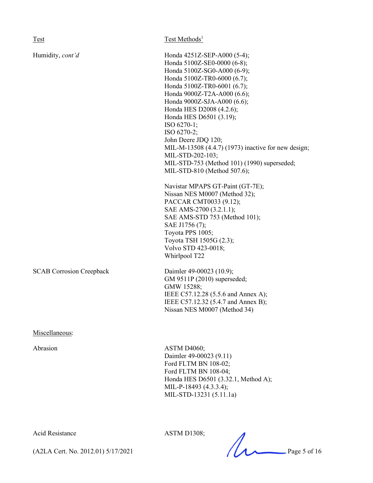Test Methods<sup>1</sup>

Humidity, *cont'd* Honda 4251Z-SEP-A000 (5-4); Honda 5100Z-SE0-0000 (6-8); Honda 5100Z-SG0-A000 (6-9); Honda 5100Z-TR0-6000 (6.7); Honda 5100Z-TR0-6001 (6.7); Honda 9000Z-T2A-A000 (6.6); Honda 9000Z-SJA-A000 (6.6); Honda HES D2008 (4.2.6); Honda HES D6501 (3.19); ISO 6270-1; ISO 6270-2; John Deere JDQ 120; MIL-M-13508 (4.4.7) (1973) inactive for new design; MIL-STD-202-103; MIL-STD-753 (Method 101) (1990) superseded; MIL-STD-810 (Method 507.6);

> Navistar MPAPS GT-Paint (GT-7E); Nissan NES M0007 (Method 32); PACCAR CMT0033 (9.12); SAE AMS-2700 (3.2.1.1); SAE AMS-STD 753 (Method 101); SAE J1756 (7); Toyota PPS 1005; Toyota TSH 1505G (2.3); Volvo STD 423-0018; Whirlpool T22

SCAB Corrosion Creepback Daimler 49-00023 (10.9); GM 9511P (2010) superseded; GMW 15288; IEEE C57.12.28 (5.5.6 and Annex A); IEEE C57.12.32 (5.4.7 and Annex B); Nissan NES M0007 (Method 34)

Miscellaneous:

Abrasion ASTM D4060; Daimler 49-00023 (9.11) Ford FLTM BN 108-02; Ford FLTM BN 108-04; Honda HES D6501 (3.32.1, Method A); MIL-P-18493 (4.3.3.4); MIL-STD-13231 (5.11.1a)

Acid Resistance ASTM D1308;

ASTIM DT506;<br>(A2LA Cert. No. 2012.01) 5/17/2021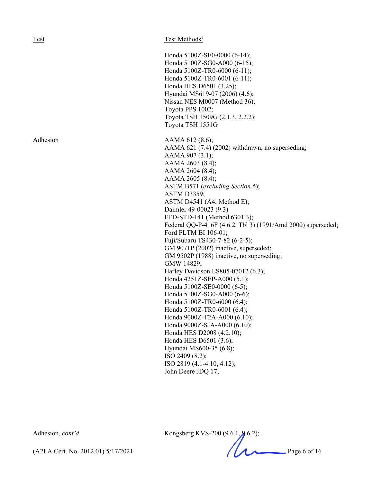Test Test Methods<sup>1</sup>

Honda 5100Z-SE0-0000 (6-14); Honda 5100Z-SG0-A000 (6-15); Honda 5100Z-TR0-6000 (6-11); Honda 5100Z-TR0-6001 (6-11); Honda HES D6501 (3.25); Hyundai MS619-07 (2006) (4.6); Nissan NES M0007 (Method 36); Toyota PPS 1002; Toyota TSH 1509G (2.1.3, 2.2.2); Toyota TSH 1551G Adhesion AAMA 612 (8.6); AAMA 621 (7.4) (2002) withdrawn, no superseding; AAMA 907 (3.1); AAMA 2603 (8.4); AAMA 2604 (8.4); AAMA 2605 (8.4); ASTM B571 (*excluding Section 6*); ASTM D3359; ASTM D4541 (A4, Method E); Daimler 49-00023 (9.3) FED-STD-141 (Method 6301.3); Federal QQ-P-416F (4.6.2, Tbl 3) (1991/Amd 2000) superseded; Ford FLTM BI 106-01; Fuji/Subaru TS430-7-82 (6-2-5); GM 9071P (2002) inactive, superseded; GM 9502P (1988) inactive, no superseding; GMW 14829;

Harley Davidson ES805-07012 (6.3); Honda 4251Z-SEP-A000 (5.1); Honda 5100Z-SE0-0000 (6-5); Honda 5100Z-SG0-A000 (6-6); Honda 5100Z-TR0-6000 (6.4); Honda 5100Z-TR0-6001 (6.4); Honda 9000Z-T2A-A000 (6.10); Honda 9000Z-SJA-A000 (6.10); Honda HES D2008 (4.2.10); Honda HES D6501 (3.6); Hyundai MS600-35 (6.8); ISO 2409 (8.2); ISO 2819 (4.1-4.10, 4.12); John Deere JDQ 17;

Adhesion, *cont'd* Kongsberg KVS-200 (9.6.1, 9.6.2);

(A2LA Cert. No. 2012.01) 5/17/2021 Page 6 of 16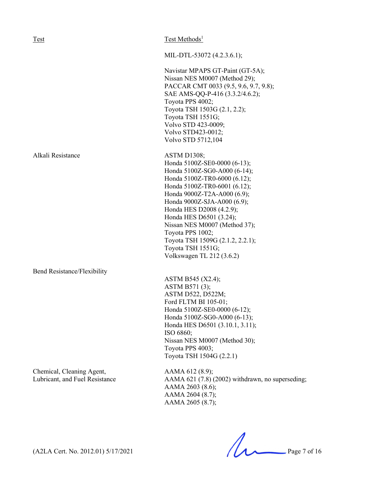| Test                        | Test Methods <sup>1</sup>             |
|-----------------------------|---------------------------------------|
|                             |                                       |
|                             | MIL-DTL-53072 (4.2.3.6.1);            |
|                             | Navistar MPAPS GT-Paint (GT-5A);      |
|                             | Nissan NES M0007 (Method 29);         |
|                             | PACCAR CMT 0033 (9.5, 9.6, 9.7, 9.8); |
|                             | SAE AMS-QQ-P-416 (3.3.2/4.6.2);       |
|                             | Toyota PPS 4002;                      |
|                             | Toyota TSH 1503G (2.1, 2.2);          |
|                             | Toyota TSH 1551G;                     |
|                             | Volvo STD 423-0009;                   |
|                             | Volvo STD423-0012;                    |
|                             | Volvo STD 5712,104                    |
|                             |                                       |
| Alkali Resistance           | ASTM D1308;                           |
|                             | Honda 5100Z-SE0-0000 (6-13);          |
|                             | Honda 5100Z-SG0-A000 (6-14);          |
|                             | Honda 5100Z-TR0-6000 (6.12);          |
|                             | Honda 5100Z-TR0-6001 (6.12);          |
|                             | Honda 9000Z-T2A-A000 (6.9);           |
|                             | Honda 9000Z-SJA-A000 (6.9);           |
|                             | Honda HES D2008 (4.2.9);              |
|                             | Honda HES D6501 (3.24);               |
|                             | Nissan NES M0007 (Method 37);         |
|                             | Toyota PPS 1002;                      |
|                             | Toyota TSH 1509G (2.1.2, 2.2.1);      |
|                             | Toyota TSH 1551G;                     |
|                             | Volkswagen TL 212 (3.6.2)             |
|                             |                                       |
| Bend Resistance/Flexibility |                                       |
|                             | ASTM B545 (X2.4);                     |
|                             | ASTM B571 (3);                        |
|                             | ASTM D522, D522M;                     |
|                             | Ford FLTM BI 105-01;                  |
|                             | Honda 5100Z-SE0-0000 (6-12);          |
|                             | Honda 5100Z-SG0-A000 (6-13);          |
|                             | Honda HES D6501 (3.10.1, 3.11);       |
|                             | ISO 6860;                             |
|                             | Nissan NES M0007 (Method 30);         |
|                             | Toyota PPS 4003;                      |

Chemical, Cleaning Agent, AAMA 612 (8.9);<br>
Lubricant, and Fuel Resistance AAMA 621 (7.8) (

AAMA 621 (7.8) (2002) withdrawn, no superseding; AAMA 2603 (8.6); AAMA 2604 (8.7); AAMA 2605 (8.7);

Toyota TSH 1504G (2.2.1)

 $(A2LA$  Cert. No. 2012.01) 5/17/2021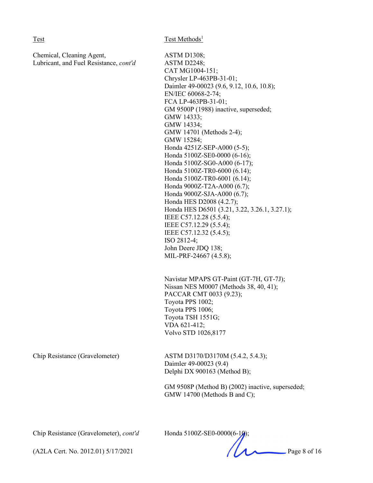Chemical, Cleaning Agent, ASTM D1308; Lubricant, and Fuel Resistance, *cont'd* ASTM D2248;

CAT MG1004-151; Chrysler LP-463PB-31-01; Daimler 49-00023 (9.6, 9.12, 10.6, 10.8); EN/IEC 60068-2-74; FCA LP-463PB-31-01; GM 9500P (1988) inactive, superseded; GMW 14333; GMW 14334; GMW 14701 (Methods 2-4); GMW 15284; Honda 4251Z-SEP-A000 (5-5); Honda 5100Z-SE0-0000 (6-16); Honda 5100Z-SG0-A000 (6-17); Honda 5100Z-TR0-6000 (6.14); Honda 5100Z-TR0-6001 (6.14); Honda 9000Z-T2A-A000 (6.7); Honda 9000Z-SJA-A000 (6.7); Honda HES D2008 (4.2.7); Honda HES D6501 (3.21, 3.22, 3.26.1, 3.27.1); IEEE C57.12.28 (5.5.4); IEEE C57.12.29 (5.5.4); IEEE C57.12.32 (5.4.5); ISO 2812-4; John Deere JDQ 138; MIL-PRF-24667 (4.5.8);

Navistar MPAPS GT-Paint (GT-7H, GT-7J); Nissan NES M0007 (Methods 38, 40, 41); PACCAR CMT 0033 (9.23); Toyota PPS 1002; Toyota PPS 1006; Toyota TSH 1551G; VDA 621-412; Volvo STD 1026,8177

Chip Resistance (Gravelometer) ASTM D3170/D3170M (5.4.2, 5.4.3); Daimler 49-00023 (9.4) Delphi DX 900163 (Method B);

> GM 9508P (Method B) (2002) inactive, superseded; GMW 14700 (Methods B and C);

Chip Resistance (Gravelometer), *cont'd* Honda 5100Z-SE0-0000(6-10)

(A2LA Cert. No. 2012.01) 5/17/2021 Page 8 of 16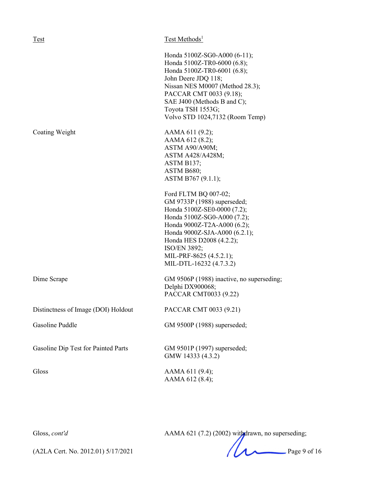| Test                                | Test Methods <sup>1</sup>                                                                                                                                                                                                                                                                                                                                                                                         |
|-------------------------------------|-------------------------------------------------------------------------------------------------------------------------------------------------------------------------------------------------------------------------------------------------------------------------------------------------------------------------------------------------------------------------------------------------------------------|
|                                     | Honda 5100Z-SG0-A000 (6-11);<br>Honda 5100Z-TR0-6000 (6.8);<br>Honda 5100Z-TR0-6001 (6.8);<br>John Deere JDQ 118;<br>Nissan NES M0007 (Method 28.3);<br>PACCAR CMT 0033 (9.18);<br>SAE J400 (Methods B and C);<br>Toyota TSH 1553G;<br>Volvo STD 1024,7132 (Room Temp)                                                                                                                                            |
| Coating Weight                      | AAMA 611 (9.2);<br>AAMA 612 (8.2);<br>ASTM A90/A90M;<br>ASTM A428/A428M;<br>ASTM B137;<br>ASTM B680;<br>ASTM B767 (9.1.1);<br>Ford FLTM BQ 007-02;<br>GM 9733P (1988) superseded;<br>Honda 5100Z-SE0-0000 (7.2);<br>Honda 5100Z-SG0-A000 (7.2);<br>Honda 9000Z-T2A-A000 (6.2);<br>Honda 9000Z-SJA-A000 (6.2.1);<br>Honda HES D2008 (4.2.2);<br>ISO/EN 3892;<br>MIL-PRF-8625 (4.5.2.1);<br>MIL-DTL-16232 (4.7.3.2) |
| Dime Scrape                         | GM 9506P (1988) inactive, no superseding;<br>Delphi DX900068;<br>PACCAR CMT0033 (9.22)                                                                                                                                                                                                                                                                                                                            |
| Distinctness of Image (DOI) Holdout | PACCAR CMT 0033 (9.21)                                                                                                                                                                                                                                                                                                                                                                                            |
| Gasoline Puddle                     | GM 9500P (1988) superseded;                                                                                                                                                                                                                                                                                                                                                                                       |
| Gasoline Dip Test for Painted Parts | GM 9501P (1997) superseded;<br>GMW 14333 (4.3.2)                                                                                                                                                                                                                                                                                                                                                                  |
| Gloss                               | AAMA 611 (9.4);<br>AAMA 612 (8.4);                                                                                                                                                                                                                                                                                                                                                                                |

Gloss, *cont'd* AAMA 621 (7.2) (2002) withdrawn, no superseding;

(A2LA Cert. No. 2012.01) 5/17/2021 Page 9 of 16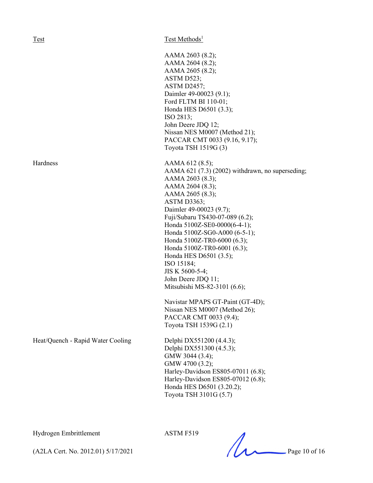Heat/Quench - Rapid Water Cooling Delphi DX551200 (4.4.3);

Test Test Methods<sup>1</sup>

AAMA 2603 (8.2); AAMA 2604 (8.2); AAMA 2605 (8.2); ASTM D523; ASTM D2457; Daimler 49-00023 (9.1); Ford FLTM BI 110-01; Honda HES D6501 (3.3); ISO 2813; John Deere JDQ 12; Nissan NES M0007 (Method 21); PACCAR CMT 0033 (9.16, 9.17); Toyota TSH 1519G (3) Hardness AAMA 612 (8.5); AAMA 621 (7.3) (2002) withdrawn, no superseding; AAMA 2603 (8.3); AAMA 2604 (8.3); AAMA 2605 (8.3); ASTM D3363; Daimler 49-00023 (9.7); Fuji/Subaru TS430-07-089 (6.2); Honda 5100Z-SE0-0000(6-4-1); Honda 5100Z-SG0-A000 (6-5-1); Honda 5100Z-TR0-6000 (6.3); Honda 5100Z-TR0-6001 (6.3); Honda HES D6501 (3.5); ISO 15184; JIS K 5600-5-4; John Deere JDQ 11; Mitsubishi MS-82-3101 (6.6); Navistar MPAPS GT-Paint (GT-4D); Nissan NES M0007 (Method 26); PACCAR CMT 0033 (9.4); Toyota TSH 1539G (2.1)

> Delphi DX551300 (4.5.3); GMW 3044 (3.4); GMW 4700 (3.2); Harley-Davidson ES805-07011 (6.8); Harley-Davidson ES805-07012 (6.8); Honda HES D6501 (3.20.2); Toyota TSH 3101G (5.7)

Hydrogen Embrittlement ASTM F519

ASIN F319<br>(A2LA Cert. No. 2012.01) 5/17/2021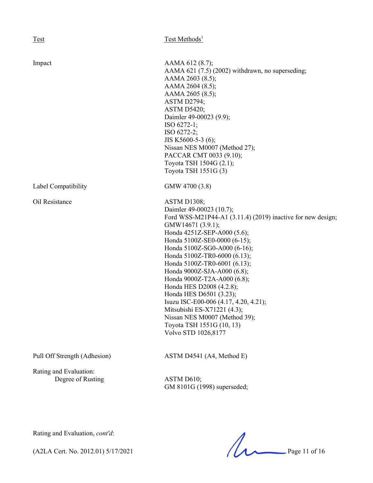| <b>Test</b>                                 | Test Methods <sup>1</sup>                                                                                                                                                                                                                                                                                                                                                                                                                                                                                                                                                        |
|---------------------------------------------|----------------------------------------------------------------------------------------------------------------------------------------------------------------------------------------------------------------------------------------------------------------------------------------------------------------------------------------------------------------------------------------------------------------------------------------------------------------------------------------------------------------------------------------------------------------------------------|
|                                             |                                                                                                                                                                                                                                                                                                                                                                                                                                                                                                                                                                                  |
| Impact                                      | AAMA 612 (8.7);<br>AAMA 621 (7.5) (2002) withdrawn, no superseding;<br>AAMA 2603 (8.5);<br>AAMA 2604 (8.5);<br>AAMA 2605 (8.5);<br>ASTM D2794;<br><b>ASTM D5420;</b><br>Daimler 49-00023 (9.9);<br>ISO 6272-1;<br>ISO 6272-2;<br>JIS K5600-5-3 (6);<br>Nissan NES M0007 (Method 27);<br>PACCAR CMT 0033 (9.10);<br>Toyota TSH 1504G (2.1);<br>Toyota TSH 1551G (3)                                                                                                                                                                                                               |
| Label Compatibility                         | GMW 4700 (3.8)                                                                                                                                                                                                                                                                                                                                                                                                                                                                                                                                                                   |
| Oil Resistance                              | ASTM D1308;<br>Daimler 49-00023 (10.7);<br>Ford WSS-M21P44-A1 $(3.11.4)$ $(2019)$ inactive for new design;<br>GMW14671 (3.9.1);<br>Honda 4251Z-SEP-A000 (5.6);<br>Honda 5100Z-SE0-0000 (6-15);<br>Honda 5100Z-SG0-A000 (6-16);<br>Honda 5100Z-TR0-6000 (6.13);<br>Honda 5100Z-TR0-6001 (6.13);<br>Honda 9000Z-SJA-A000 (6.8);<br>Honda 9000Z-T2A-A000 (6.8);<br>Honda HES D2008 (4.2.8);<br>Honda HES D6501 (3.23);<br>Isuzu ISC-E00-006 (4.17, 4.20, 4.21);<br>Mitsubishi ES-X71221 (4.3);<br>Nissan NES M0007 (Method 39);<br>Toyota TSH 1551G (10, 13)<br>Volvo STD 1026,8177 |
| Pull Off Strength (Adhesion)                | ASTM D4541 (A4, Method E)                                                                                                                                                                                                                                                                                                                                                                                                                                                                                                                                                        |
| Rating and Evaluation:<br>Degree of Rusting | ASTM D610;<br>GM 8101G (1998) superseded;                                                                                                                                                                                                                                                                                                                                                                                                                                                                                                                                        |

Rating and Evaluation, *cont'd*:

Rating and Evaluation, *cont'd*:<br>(A2LA Cert. No. 2012.01) 5/17/2021 Page 11 of 16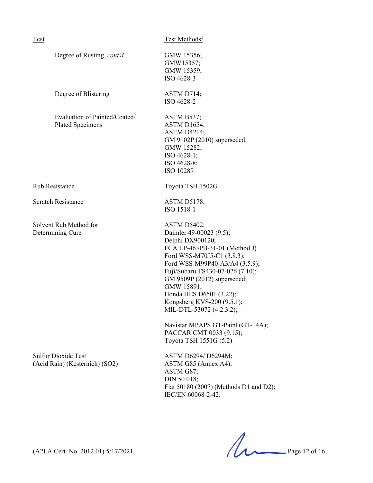| <b>Test</b>                                                  | Test Methods <sup>1</sup>                                                                                                                                                                                                                                                                                                                                                                                                          |
|--------------------------------------------------------------|------------------------------------------------------------------------------------------------------------------------------------------------------------------------------------------------------------------------------------------------------------------------------------------------------------------------------------------------------------------------------------------------------------------------------------|
| Degree of Rusting, cont'd                                    | GMW 15356;<br>GMW15357;<br>GMW 15359;<br>ISO 4628-3                                                                                                                                                                                                                                                                                                                                                                                |
| Degree of Blistering                                         | ASTM D714;<br>ISO 4628-2                                                                                                                                                                                                                                                                                                                                                                                                           |
| Evaluation of Painted/Coated/<br><b>Plated Specimens</b>     | ASTM B537;<br><b>ASTM D1654;</b><br><b>ASTM D4214;</b><br>GM 9102P (2010) superseded;<br>GMW 15282;<br>ISO 4628-1;<br>ISO 4628-8;<br>ISO 10289                                                                                                                                                                                                                                                                                     |
| <b>Rub Resistance</b>                                        | Toyota TSH 1502G                                                                                                                                                                                                                                                                                                                                                                                                                   |
| <b>Scratch Resistance</b>                                    | ASTM D5178;<br>ISO 1518-1                                                                                                                                                                                                                                                                                                                                                                                                          |
| Solvent Rub Method for<br>Determining Cure                   | <b>ASTM D5402;</b><br>Daimler 49-00023 (9.5);<br>Delphi DX900120;<br>FCA LP-463PB-31-01 (Method J)<br>Ford WSS-M70J5-C1 (3.8.3);<br>Ford WSS-M99P40-A3/A4 (3.5.9);<br>Fuji/Subaru TS430-07-026 (7.10);<br>GM 9509P (2012) superseded;<br>GMW 15891;<br>Honda HES D6501 (3.22);<br>Kongsberg KVS-200 (9.5.1);<br>MIL-DTL-53072 (4.2.3.2);<br>Navistar MPAPS GT-Paint (GT-14A);<br>PACCAR CMT 0033 (9.15);<br>Toyota TSH 1551G (5.2) |
| <b>Sulfur Dioxide Test</b><br>(Acid Rain) (Kesternich) (SO2) | ASTM D6294/ D6294M;<br>ASTM G85 (Annex A4);<br>ASTM G87;<br>DIN 50 018;<br>Fiat 50180 (2007) (Methods D1 and D2);<br>IEC/EN 60068-2-42;                                                                                                                                                                                                                                                                                            |

 $(A2LA$  Cert. No. 2012.01) 5/17/2021 Page 12 of 16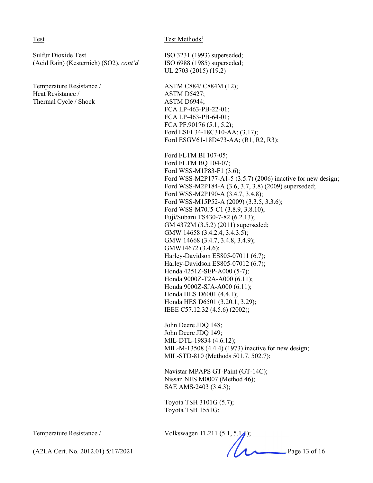### Test Test Methods<sup>1</sup>

Sulfur Dioxide Test ISO 3231 (1993) superseded; (Acid Rain) (Kesternich) (SO2), *cont'd* ISO 6988 (1985) superseded;

Temperature Resistance / ASTM C884/ C884M (12); Heat Resistance / ASTM D5427; Thermal Cycle / Shock ASTM D6944;

UL 2703 (2015) (19.2)

FCA LP-463-PB-22-01; FCA LP-463-PB-64-01; FCA PF.90176 (5.1, 5.2); Ford ESFL34-18C310-AA; (3.17); Ford ESGV61-18D473-AA; (R1, R2, R3);

Ford FLTM BI 107-05; Ford FLTM BQ 104-07; Ford WSS-M1P83-F1 (3.6); Ford WSS-M2P177-A1-5 (3.5.7) (2006) inactive for new design; Ford WSS-M2P184-A (3.6, 3.7, 3.8) (2009) superseded; Ford WSS-M2P190-A (3.4.7, 3.4.8); Ford WSS-M15P52-A (2009) (3.3.5, 3.3.6); Ford WSS-M70J5-C1 (3.8.9, 3.8.10); Fuji/Subaru TS430-7-82 (6.2.13); GM 4372M (3.5.2) (2011) superseded; GMW 14658 (3.4.2.4, 3.4.3.5); GMW 14668 (3.4.7, 3.4.8, 3.4.9); GMW14672 (3.4.6); Harley-Davidson ES805-07011 (6.7); Harley-Davidson ES805-07012 (6.7); Honda 4251Z-SEP-A000 (5-7); Honda 9000Z-T2A-A000 (6.11); Honda 9000Z-SJA-A000 (6.11); Honda HES D6001 (4.4.1); Honda HES D6501 (3.20.1, 3.29); IEEE C57.12.32 (4.5.6) (2002);

John Deere JDQ 148; John Deere JDQ 149; MIL-DTL-19834 (4.6.12); MIL-M-13508 (4.4.4) (1973) inactive for new design; MIL-STD-810 (Methods 501.7, 502.7);

Navistar MPAPS GT-Paint (GT-14C); Nissan NES M0007 (Method 46); SAE AMS-2403 (3.4.3);

Toyota TSH 3101G (5.7); Toyota TSH 1551G;

Temperature Resistance / Volkswagen TL211 (5.1, 5.1.1);

(A2LA Cert. No. 2012.01) 5/17/2021 Page 13 of 16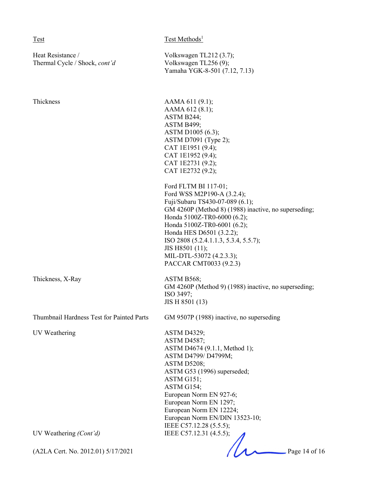Heat Resistance / Volkswagen TL212 (3.7); Thermal Cycle / Shock, *cont'd* Volkswagen TL256 (9);

Test Test Methods<sup>1</sup>

Yamaha YGK-8-501 (7.12, 7.13)

| Thickness                                 | AAMA 611 (9.1);<br>AAMA 612 (8.1);<br>ASTM B244;<br>ASTM B499;<br>ASTM D1005 (6.3);<br>ASTM D7091 (Type 2);<br>CAT 1E1951 (9.4);<br>CAT 1E1952 (9.4);<br>CAT 1E2731 (9.2);<br>CAT 1E2732 (9.2);                                                                                                                                                           |
|-------------------------------------------|-----------------------------------------------------------------------------------------------------------------------------------------------------------------------------------------------------------------------------------------------------------------------------------------------------------------------------------------------------------|
|                                           | Ford FLTM BI 117-01;<br>Ford WSS M2P190-A (3.2.4);<br>Fuji/Subaru TS430-07-089 (6.1);<br>GM 4260P (Method 8) (1988) inactive, no superseding;<br>Honda 5100Z-TR0-6000 (6.2);<br>Honda 5100Z-TR0-6001 (6.2);<br>Honda HES D6501 (3.2.2);<br>ISO 2808 (5.2.4.1.1.3, 5.3.4, 5.5.7);<br>JIS H8501 (11);<br>MIL-DTL-53072 (4.2.3.3);<br>PACCAR CMT0033 (9.2.3) |
| Thickness, X-Ray                          | ASTM B568;<br>GM 4260P (Method 9) (1988) inactive, no superseding;<br>ISO 3497;<br>JIS H 8501 (13)                                                                                                                                                                                                                                                        |
| Thumbnail Hardness Test for Painted Parts | GM 9507P (1988) inactive, no superseding                                                                                                                                                                                                                                                                                                                  |
| UV Weathering                             | <b>ASTM D4329;</b><br><b>ASTM D4587;</b><br>ASTM D4674 (9.1.1, Method 1);<br>ASTM D4799/ D4799M;<br>ASTM D5208;<br>ASTM G53 (1996) superseded;<br>ASTM G151;<br>ASTM G154;<br>European Norm EN 927-6;<br>European Norm EN 1297;<br>European Norm EN 12224;<br>European Norm EN/DIN 13523-10;<br>IEEE C57.12.28 (5.5.5);                                   |
| UV Weathering $(Cont\, d)$                | IEEE C57.12.31 (4.5.5);                                                                                                                                                                                                                                                                                                                                   |
| (A2LA Cert. No. 2012.01) 5/17/2021        | Page 14 of 16                                                                                                                                                                                                                                                                                                                                             |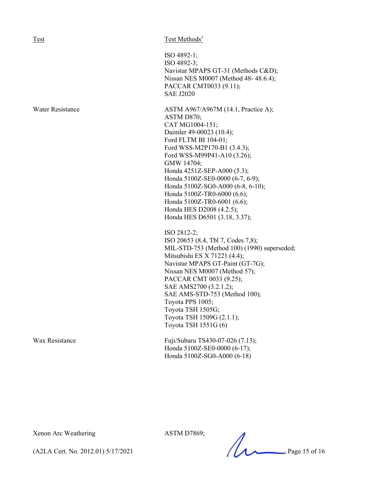### Test Methods<sup>1</sup>

ISO 4892-1; ISO 4892-3; Navistar MPAPS GT-31 (Methods C&D); Nissan NES M0007 (Method 48- 48.6.4); PACCAR CMT0033 (9.11); SAE J2020

Water Resistance **ASTM A967/A967M** (14.1, Practice A); ASTM D870; CAT MG1004-151; Daimler 49-00023 (10.4); Ford FLTM BI 104-01; Ford WSS-M2P170-B1 (3.4.3); Ford WSS-M99P41-A10 (3.26); GMW 14704; Honda 4251Z-SEP-A000 (5.3); Honda 5100Z-SE0-0000 (6-7, 6-9); Honda 5100Z-SG0-A000 (6-8, 6-10); Honda 5100Z-TR0-6000 (6.6); Honda 5100Z-TR0-6001 (6.6); Honda HES D2008 (4.2.5); Honda HES D6501 (3.18, 3.37);

> ISO 2812-2; ISO 20653 (8.4, Tbl 7, Codes 7,8); MIL-STD-753 (Method 100) (1990) superseded; Mitsubishi ES X 71221 (4.4); Navistar MPAPS GT-Paint (GT-7G); Nissan NES M0007 (Method 57); PACCAR CMT 0033 (9.25); SAE AMS2700 (3.2.1.2); SAE AMS-STD-753 (Method 100); Toyota PPS 1005; Toyota TSH 1505G; Toyota TSH 1509G (2.1.1); Toyota TSH 1551G (6)

Wax Resistance Fuji/Subaru TS430-07-026 (7.13); Honda 5100Z-SE0-0000 (6-17); Honda 5100Z-SG0-A000 (6-18)

Xenon Arc Weathering ASTM D7869;

ASTIN D7809;<br>(A2LA Cert. No. 2012.01) 5/17/2021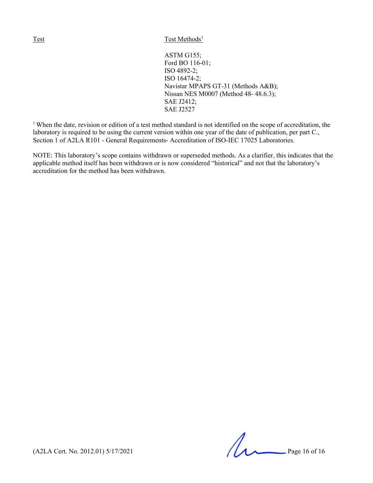```
ASTM G155;
Ford BO 116-01;
ISO 4892-2;
ISO 16474-2;
Navistar MPAPS GT-31 (Methods A&B);
Nissan NES M0007 (Method 48- 48.6.3);
SAE J2412;
SAE J2527
```
<sup>1</sup> When the date, revision or edition of a test method standard is not identified on the scope of accreditation, the laboratory is required to be using the current version within one year of the date of publication, per part C., Section 1 of A2LA R101 - General Requirements- Accreditation of ISO-IEC 17025 Laboratories.

NOTE: This laboratory's scope contains withdrawn or superseded methods. As a clarifier, this indicates that the applicable method itself has been withdrawn or is now considered "historical" and not that the laboratory's accreditation for the method has been withdrawn.

(A2LA Cert. No. 2012.01) 5/17/2021 Page 16 of 16